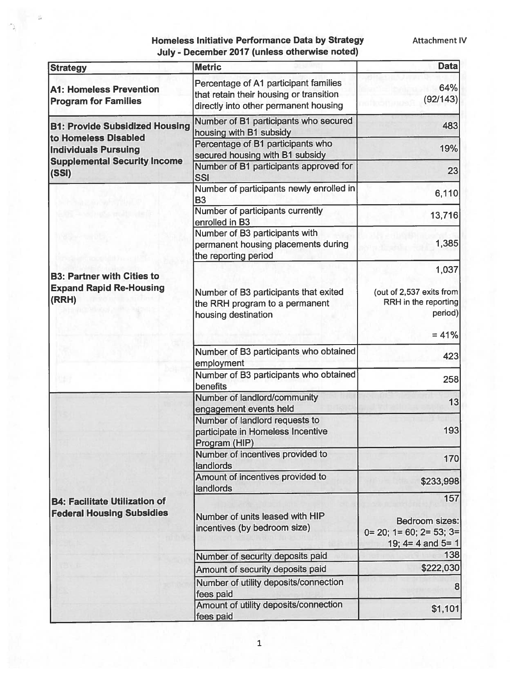| Homeless Initiative Performance Data by Strategy |  |  |  |
|--------------------------------------------------|--|--|--|
| July - December 2017 (unless otherwise noted)    |  |  |  |

| <b>Strategy</b>                                               | <b>Metric</b>                                                                                                             | <b>Data</b>                                                                     |
|---------------------------------------------------------------|---------------------------------------------------------------------------------------------------------------------------|---------------------------------------------------------------------------------|
| <b>A1: Homeless Prevention</b><br><b>Program for Families</b> | Percentage of A1 participant families<br>that retain their housing or transition<br>directly into other permanent housing | 64%<br>(92/143)                                                                 |
| <b>B1: Provide Subsidized Housing</b>                         | Number of B1 participants who secured<br>housing with B1 subsidy                                                          | 483                                                                             |
| to Homeless Disabled<br><b>Individuals Pursuing</b>           | Percentage of B1 participants who<br>secured housing with B1 subsidy                                                      | 19%                                                                             |
| <b>Supplemental Security Income</b><br>(SSI)                  | Number of B1 participants approved for<br><b>SSI</b>                                                                      | 23                                                                              |
|                                                               | Number of participants newly enrolled in<br><b>B3</b>                                                                     | 6,110                                                                           |
|                                                               | Number of participants currently<br>enrolled in B3                                                                        | 13,716                                                                          |
|                                                               | Number of B3 participants with<br>permanent housing placements during<br>the reporting period                             | 1,385                                                                           |
| <b>B3: Partner with Cities to</b>                             |                                                                                                                           | 1,037                                                                           |
| <b>Expand Rapid Re-Housing</b><br>(RRH)                       | Number of B3 participants that exited<br>the RRH program to a permanent<br>housing destination                            | (out of 2,537 exits from<br>RRH in the reporting<br>period)                     |
|                                                               |                                                                                                                           | $= 41%$                                                                         |
|                                                               | Number of B3 participants who obtained<br>employment                                                                      | 423                                                                             |
|                                                               | Number of B3 participants who obtained<br>benefits                                                                        | 258                                                                             |
|                                                               | Number of landlord/community<br>engagement events held                                                                    | 13                                                                              |
|                                                               | Number of landlord requests to<br>participate in Homeless Incentive<br>Program (HIP)                                      | 193                                                                             |
|                                                               | Number of incentives provided to<br>landlords                                                                             | 170                                                                             |
|                                                               | Amount of incentives provided to<br>landlords                                                                             | \$233,998                                                                       |
| <b>B4: Facilitate Utilization of</b>                          |                                                                                                                           | 157                                                                             |
| <b>Federal Housing Subsidies</b>                              | Number of units leased with HIP<br>incentives (by bedroom size)                                                           | <b>Bedroom sizes:</b><br>$0=20$ ; $1=60$ ; $2=53$ ; $3=$<br>19; $4=4$ and $5=1$ |
|                                                               | Number of security deposits paid                                                                                          | 138                                                                             |
|                                                               | Amount of security deposits paid                                                                                          | \$222,030                                                                       |
|                                                               | Number of utility deposits/connection<br>fees paid                                                                        | 8                                                                               |
|                                                               | Amount of utility deposits/connection<br>fees paid                                                                        | \$1,101                                                                         |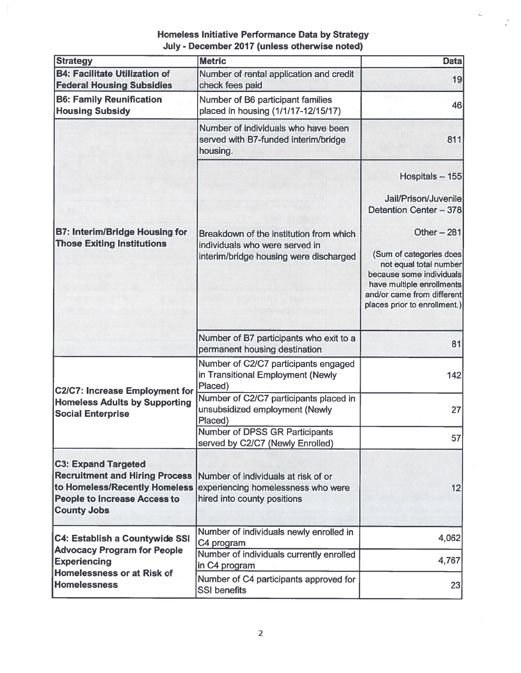$\hat{t}_k$ 

| <b>Strategy</b>                                                                                                                                                   | <b>Metric</b>                                                                                                       | <b>Data</b>                                                                                                                                                              |
|-------------------------------------------------------------------------------------------------------------------------------------------------------------------|---------------------------------------------------------------------------------------------------------------------|--------------------------------------------------------------------------------------------------------------------------------------------------------------------------|
| <b>B4: Facilitate Utilization of</b><br><b>Federal Housing Subsidies</b>                                                                                          | Number of rental application and credit<br>check fees paid                                                          | 19                                                                                                                                                                       |
| <b>B6: Family Reunification</b><br><b>Housing Subsidy</b>                                                                                                         | Number of B6 participant families<br>placed in housing (1/1/17-12/15/17)                                            | 46                                                                                                                                                                       |
|                                                                                                                                                                   | Number of individuals who have been<br>served with B7-funded interim/bridge<br>housing.                             | 811                                                                                                                                                                      |
|                                                                                                                                                                   |                                                                                                                     | Hospitals - 155<br>Jail/Prison/Juvenile<br>Detention Center - 378<br>Other $-281$                                                                                        |
| <b>B7: Interim/Bridge Housing for</b><br><b>Those Exiting Institutions</b>                                                                                        | Breakdown of the institution from which<br>individuals who were served in<br>interim/bridge housing were discharged | (Sum of categories does<br>not equal total number<br>because some individuals<br>have multiple enrollments<br>and/or came from different<br>places prior to enrollment.) |
|                                                                                                                                                                   | Number of B7 participants who exit to a<br>permanent housing destination                                            | 81                                                                                                                                                                       |
| <b>C2/C7: Increase Employment for</b>                                                                                                                             | Number of C2/C7 participants engaged<br>in Transitional Employment (Newly<br>Placed)                                | 142                                                                                                                                                                      |
| <b>Homeless Adults by Supporting</b><br><b>Social Enterprise</b>                                                                                                  | Number of C2/C7 participants placed in<br>unsubsidized employment (Newly<br>Placed)                                 | 27                                                                                                                                                                       |
|                                                                                                                                                                   | <b>Number of DPSS GR Participants</b><br>served by C2/C7 (Newly Enrolled)                                           | 57                                                                                                                                                                       |
| <b>C3: Expand Targeted</b><br><b>Recruitment and Hiring Process</b><br>to Homeless/Recently Homeless<br><b>People to Increase Access to</b><br><b>County Jobs</b> | Number of individuals at risk of or<br>experiencing homelessness who were<br>hired into county positions            | 12                                                                                                                                                                       |
| <b>C4: Establish a Countywide SSI</b>                                                                                                                             | Number of individuals newly enrolled in<br>C4 program                                                               | 4,062                                                                                                                                                                    |
| <b>Advocacy Program for People</b><br><b>Experiencing</b><br><b>Homelessness or at Risk of</b><br><b>Homelessness</b>                                             | Number of individuals currently enrolled<br>in C4 program                                                           | 4,767                                                                                                                                                                    |
|                                                                                                                                                                   | Number of C4 participants approved for<br><b>SSI benefits</b>                                                       | 23                                                                                                                                                                       |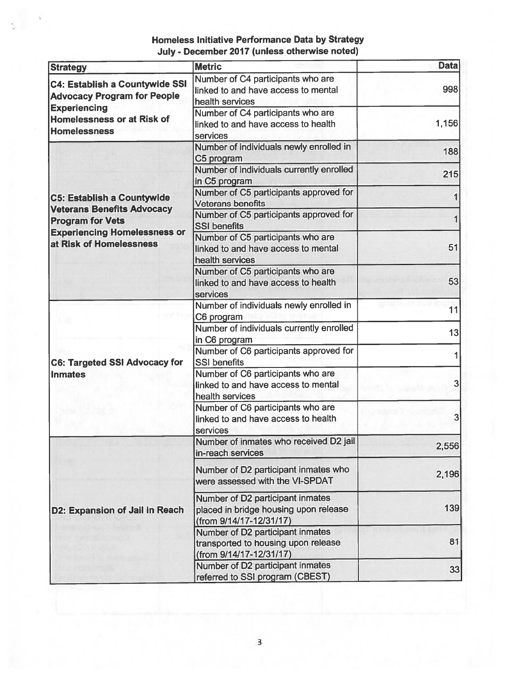| <b>Strategy</b>                                                                                                                                                     | <b>Metric</b>                                                                                        | <b>Data</b> |
|---------------------------------------------------------------------------------------------------------------------------------------------------------------------|------------------------------------------------------------------------------------------------------|-------------|
| <b>C4: Establish a Countywide SSI</b><br><b>Advocacy Program for People</b><br><b>Experiencing</b><br><b>Homelessness or at Risk of</b><br><b>Homelessness</b>      | Number of C4 participants who are<br>linked to and have access to mental<br>health services          | 998         |
|                                                                                                                                                                     | Number of C4 participants who are<br>linked to and have access to health<br>services                 | 1,156       |
| <b>C5: Establish a Countywide</b><br><b>Veterans Benefits Advocacy</b><br><b>Program for Vets</b><br><b>Experiencing Homelessness or</b><br>at Risk of Homelessness | Number of individuals newly enrolled in<br>C5 program                                                | 188         |
|                                                                                                                                                                     | Number of individuals currently enrolled<br>in C5 program                                            | 215         |
|                                                                                                                                                                     | Number of C5 participants approved for<br><b>Veterans benefits</b>                                   |             |
|                                                                                                                                                                     | Number of C5 participants approved for<br><b>SSI benefits</b>                                        |             |
|                                                                                                                                                                     | Number of C5 participants who are<br>linked to and have access to mental<br>health services          | 51          |
|                                                                                                                                                                     | Number of C5 participants who are<br>linked to and have access to health<br>services                 | 53          |
| <b>C6: Targeted SSI Advocacy for</b><br><b>Inmates</b>                                                                                                              | Number of individuals newly enrolled in<br>C6 program                                                | 11          |
|                                                                                                                                                                     | Number of individuals currently enrolled<br>in C6 program                                            | 13          |
|                                                                                                                                                                     | Number of C6 participants approved for<br><b>SSI benefits</b>                                        |             |
|                                                                                                                                                                     | Number of C6 participants who are<br>linked to and have access to mental<br>health services          | 3           |
|                                                                                                                                                                     | Number of C6 participants who are<br>linked to and have access to health<br>services                 | 3           |
| D2: Expansion of Jail in Reach                                                                                                                                      | Number of inmates who received D2 jail<br>in-reach services                                          | 2,556       |
|                                                                                                                                                                     | Number of D2 participant inmates who<br>were assessed with the VI-SPDAT                              | 2,196       |
|                                                                                                                                                                     | Number of D2 participant inmates<br>placed in bridge housing upon release<br>(from 9/14/17-12/31/17) | 139         |
|                                                                                                                                                                     | Number of D2 participant inmates<br>transported to housing upon release<br>(from 9/14/17-12/31/17)   | 81          |
|                                                                                                                                                                     | Number of D2 participant inmates<br>referred to SSI program (CBEST)                                  | 33          |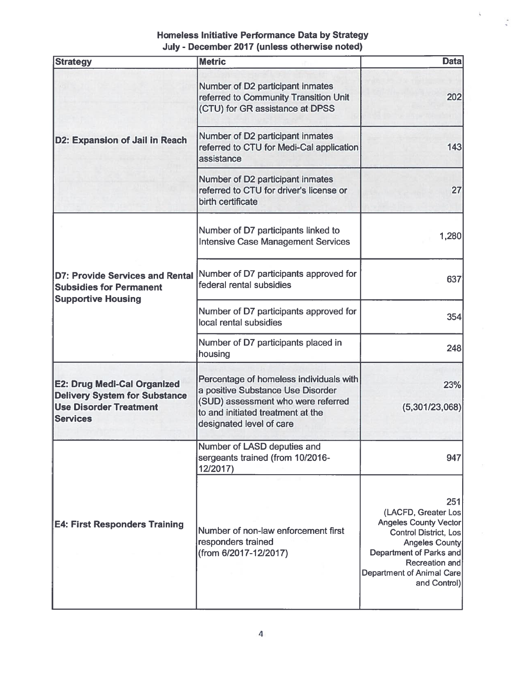$\mathsf L$ 

 $\ddot{\cdot}$ 

| <b>Strategy</b>                                                                                                                | <b>Metric</b>                                                                                                                                                                       | <b>Data</b>                                                                                                                                                                                                   |
|--------------------------------------------------------------------------------------------------------------------------------|-------------------------------------------------------------------------------------------------------------------------------------------------------------------------------------|---------------------------------------------------------------------------------------------------------------------------------------------------------------------------------------------------------------|
|                                                                                                                                | Number of D2 participant inmates<br>referred to Community Transition Unit<br>(CTU) for GR assistance at DPSS                                                                        | 202                                                                                                                                                                                                           |
| D2: Expansion of Jail in Reach                                                                                                 | Number of D2 participant inmates<br>referred to CTU for Medi-Cal application<br>assistance                                                                                          | 143                                                                                                                                                                                                           |
|                                                                                                                                | Number of D2 participant inmates<br>referred to CTU for driver's license or<br>birth certificate                                                                                    | 27                                                                                                                                                                                                            |
| D7: Provide Services and Rental<br><b>Subsidies for Permanent</b>                                                              | Number of D7 participants linked to<br><b>Intensive Case Management Services</b>                                                                                                    | 1,280                                                                                                                                                                                                         |
|                                                                                                                                | Number of D7 participants approved for<br>federal rental subsidies                                                                                                                  | 637                                                                                                                                                                                                           |
| <b>Supportive Housing</b>                                                                                                      | Number of D7 participants approved for<br>local rental subsidies                                                                                                                    | 354                                                                                                                                                                                                           |
|                                                                                                                                | Number of D7 participants placed in<br>housing                                                                                                                                      | 248                                                                                                                                                                                                           |
| <b>E2: Drug Medi-Cal Organized</b><br><b>Delivery System for Substance</b><br><b>Use Disorder Treatment</b><br><b>Services</b> | Percentage of homeless individuals with<br>a positive Substance Use Disorder<br>(SUD) assessment who were referred<br>to and initiated treatment at the<br>designated level of care | 23%<br>(5,301/23,068)                                                                                                                                                                                         |
|                                                                                                                                | Number of LASD deputies and<br>sergeants trained (from 10/2016-<br>12/2017)                                                                                                         | 947                                                                                                                                                                                                           |
| <b>E4: First Responders Training</b>                                                                                           | Number of non-law enforcement first<br>responders trained<br>(from 6/2017-12/2017)                                                                                                  | 251<br>(LACFD, Greater Los<br><b>Angeles County Vector</b><br><b>Control District, Los</b><br><b>Angeles County</b><br>Department of Parks and<br>Recreation and<br>Department of Animal Care<br>and Control) |